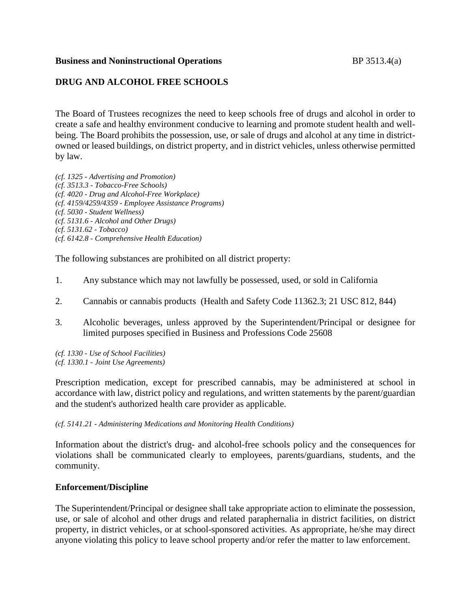## **Business and Noninstructional Operations BP** 3513.4(a)

# **DRUG AND ALCOHOL FREE SCHOOLS**

The Board of Trustees recognizes the need to keep schools free of drugs and alcohol in order to create a safe and healthy environment conducive to learning and promote student health and wellbeing. The Board prohibits the possession, use, or sale of drugs and alcohol at any time in districtowned or leased buildings, on district property, and in district vehicles, unless otherwise permitted by law.

*(cf. 1325 - Advertising and Promotion) (cf. 3513.3 - Tobacco-Free Schools) (cf. 4020 - Drug and Alcohol-Free Workplace) (cf. 4159/4259/4359 - Employee Assistance Programs) (cf. 5030 - Student Wellness) (cf. 5131.6 - Alcohol and Other Drugs) (cf. 5131.62 - Tobacco) (cf. 6142.8 - Comprehensive Health Education)*

The following substances are prohibited on all district property:

- 1. Any substance which may not lawfully be possessed, used, or sold in California
- 2. Cannabis or cannabis products (Health and Safety Code 11362.3; 21 USC 812, 844)
- 3. Alcoholic beverages, unless approved by the Superintendent/Principal or designee for limited purposes specified in Business and Professions Code 25608

*(cf. 1330 - Use of School Facilities) (cf. 1330.1 - Joint Use Agreements)*

Prescription medication, except for prescribed cannabis, may be administered at school in accordance with law, district policy and regulations, and written statements by the parent/guardian and the student's authorized health care provider as applicable.

*(cf. 5141.21 - Administering Medications and Monitoring Health Conditions)*

Information about the district's drug- and alcohol-free schools policy and the consequences for violations shall be communicated clearly to employees, parents/guardians, students, and the community.

#### **Enforcement/Discipline**

The Superintendent/Principal or designee shall take appropriate action to eliminate the possession, use, or sale of alcohol and other drugs and related paraphernalia in district facilities, on district property, in district vehicles, or at school-sponsored activities. As appropriate, he/she may direct anyone violating this policy to leave school property and/or refer the matter to law enforcement.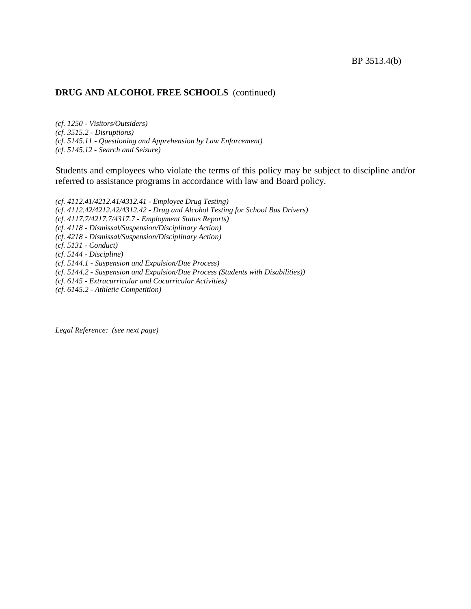# **DRUG AND ALCOHOL FREE SCHOOLS** (continued)

*(cf. 1250 - Visitors/Outsiders) (cf. 3515.2 - Disruptions) (cf. 5145.11 - Questioning and Apprehension by Law Enforcement) (cf. 5145.12 - Search and Seizure)*

Students and employees who violate the terms of this policy may be subject to discipline and/or referred to assistance programs in accordance with law and Board policy.

*(cf. 4112.41/4212.41/4312.41 - Employee Drug Testing) (cf. 4112.42/4212.42/4312.42 - Drug and Alcohol Testing for School Bus Drivers) (cf. 4117.7/4217.7/4317.7 - Employment Status Reports) (cf. 4118 - Dismissal/Suspension/Disciplinary Action) (cf. 4218 - Dismissal/Suspension/Disciplinary Action) (cf. 5131 - Conduct) (cf. 5144 - Discipline) (cf. 5144.1 - Suspension and Expulsion/Due Process) (cf. 5144.2 - Suspension and Expulsion/Due Process (Students with Disabilities)) (cf. 6145 - Extracurricular and Cocurricular Activities) (cf. 6145.2 - Athletic Competition)*

*Legal Reference: (see next page)*